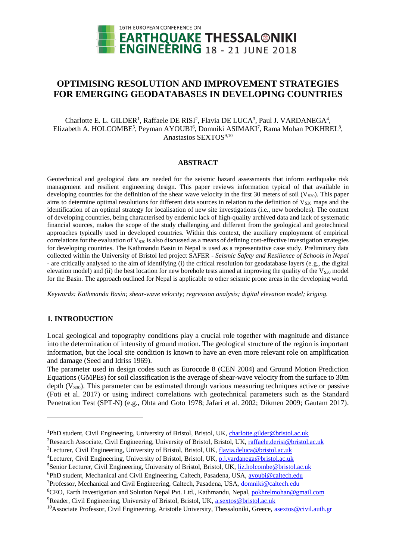

# **OPTIMISING RESOLUTION AND IMPROVEMENT STRATEGIES FOR EMERGING GEODATABASES IN DEVELOPING COUNTRIES**

Charlotte E. L. GILDER<sup>1</sup>, Raffaele DE RISI<sup>2</sup>, Flavia DE LUCA<sup>3</sup>, Paul J. VARDANEGA<sup>4</sup>, Elizabeth A. HOLCOMBE<sup>5</sup>, Peyman AYOUBI<sup>6</sup>, Domniki ASIMAKI<sup>7</sup>, Rama Mohan POKHREL<sup>8</sup>, Anastasios SEXTOS<sup>9,10</sup>

#### **ABSTRACT**

Geotechnical and geological data are needed for the seismic hazard assessments that inform earthquake risk management and resilient engineering design. This paper reviews information typical of that available in developing countries for the definition of the shear wave velocity in the first 30 meters of soil ( $V<sub>830</sub>$ ). This paper aims to determine optimal resolutions for different data sources in relation to the definition of  $V_{S30}$  maps and the identification of an optimal strategy for localisation of new site investigations (i.e., new boreholes). The context of developing countries, being characterised by endemic lack of high-quality archived data and lack of systematic financial sources, makes the scope of the study challenging and different from the geological and geotechnical approaches typically used in developed countries. Within this context, the auxiliary employment of empirical correlations for the evaluation of  $V_{S30}$  is also discussed as a means of defining cost-effective investigation strategies for developing countries. The Kathmandu Basin in Nepal is used as a representative case study. Preliminary data collected within the University of Bristol led project SAFER - *Seismic Safety and Resilience of Schools in Nepal* - are critically analysed to the aim of identifying (i) the critical resolution for geodatabase layers (e.g., the digital elevation model) and (ii) the best location for new borehole tests aimed at improving the quality of the  $V<sub>S30</sub>$  model for the Basin. The approach outlined for Nepal is applicable to other seismic prone areas in the developing world.

*Keywords: Kathmandu Basin; shear-wave velocity; regression analysis; digital elevation model; kriging.*

## **1. INTRODUCTION**

l

Local geological and topography conditions play a crucial role together with magnitude and distance into the determination of intensity of ground motion. The geological structure of the region is important information, but the local site condition is known to have an even more relevant role on amplification and damage (Seed and Idriss 1969).

The parameter used in design codes such as Eurocode 8 (CEN 2004) and Ground Motion Prediction Equations (GMPEs) for soil classification is the average of shear-wave velocity from the surface to 30m depth  $(V<sub>S30</sub>)$ . This parameter can be estimated through various measuring techniques active or passive (Foti et al. 2017) or using indirect correlations with geotechnical parameters such as the Standard Penetration Test (SPT-N) (e.g., Ohta and Goto 1978; Jafari et al. 2002; Dikmen 2009; Gautam 2017).

<sup>5</sup>Senior Lecturer, Civil Engineering, University of Bristol, Bristol, UK, [liz.holcombe@bristol.ac.uk](mailto:liz.holcombe@bristol.ac.uk)

<sup>&</sup>lt;sup>1</sup>PhD student, Civil Engineering, University of Bristol, Bristol, UK, [charlotte.gilder@bristol.ac.uk](mailto:charlotte.gilder@bristol.ac.uk)

<sup>2</sup>Research Associate, Civil Engineering, University of Bristol, Bristol, UK, [raffaele.derisi@bristol.ac.uk](mailto:raffaele.derisi@bristol.ac.uk)

<sup>&</sup>lt;sup>3</sup>Lecturer, Civil Engineering, University of Bristol, Bristol, UK, [flavia.deluca@bristol.ac.uk](mailto:flavia.deluca@bristol.ac.uk)

<sup>&</sup>lt;sup>4</sup>Lecturer, Civil Engineering, University of Bristol, Bristol, UK, [p.j.vardanega@bristol.ac.uk](mailto:p.j.vardanega@bristol.ac.uk)

<sup>&</sup>lt;sup>6</sup>PhD student, Mechanical and Civil Engineering, Caltech, Pasadena, USA, avoubi@caltech.edu

<sup>&</sup>lt;sup>7</sup>Professor, Mechanical and Civil Engineering, Caltech, Pasadena, USA, [domniki@caltech.edu](mailto:domniki@caltech.edu)

<sup>&</sup>lt;sup>8</sup>CEO, Earth Investigation and Solution Nepal Pvt. Ltd., Kathmandu, Nepal, [pokhrelmohan@gmail.com](mailto:pokhrelmohan@gmail.com)

<sup>&</sup>lt;sup>9</sup>Reader, Civil Engineering, University of Bristol, Bristol, UK, [a.sextos@bristol.ac.uk](mailto:a.sextos@bristol.ac.uk)

<sup>&</sup>lt;sup>10</sup>Associate Professor, Civil Engineering, Aristotle University, Thessaloniki, Greece, [asextos@civil.auth.gr](mailto:asextos@civil.auth.gr)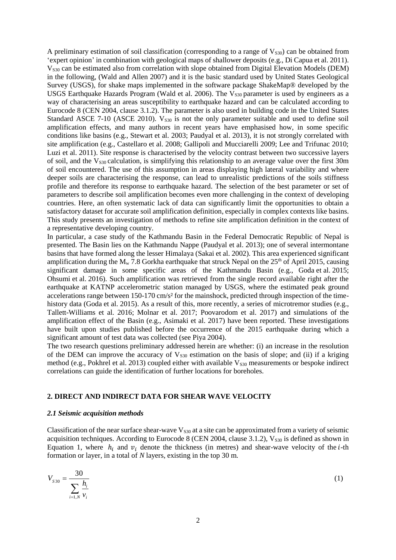A preliminary estimation of soil classification (corresponding to a range of  $V<sub>S30</sub>$ ) can be obtained from 'expert opinion' in combination with geological maps of shallower deposits (e.g., Di Capua et al. 2011). V<sub>S30</sub> can be estimated also from correlation with slope obtained from Digital Elevation Models (DEM) in the following, (Wald and Allen 2007) and it is the basic standard used by United States Geological Survey (USGS), for shake maps implemented in the software package ShakeMap® developed by the USGS Earthquake Hazards Program (Wald et al. 2006). The  $V<sub>S30</sub>$  parameter is used by engineers as a way of characterising an areas susceptibility to earthquake hazard and can be calculated according to Eurocode 8 (CEN 2004, clause 3.1.2). The parameter is also used in building code in the United States Standard ASCE 7-10 (ASCE 2010).  $V_{S30}$  is not the only parameter suitable and used to define soil amplification effects, and many authors in recent years have emphasised how, in some specific conditions like basins (e.g., Stewart et al. 2003; Paudyal et al. 2013), it is not strongly correlated with site amplification (e.g., Castellaro et al. 2008; Gallipoli and Mucciarelli 2009; Lee and Trifunac 2010; Luzi et al. 2011). Site response is characterised by the velocity contrast between two successive layers of soil, and the  $V_{s30}$  calculation, is simplifying this relationship to an average value over the first 30m of soil encountered. The use of this assumption in areas displaying high lateral variability and where deeper soils are characterising the response, can lead to unrealistic predictions of the soils stiffness profile and therefore its response to earthquake hazard. The selection of the best parameter or set of parameters to describe soil amplification becomes even more challenging in the context of developing countries. Here, an often systematic lack of data can significantly limit the opportunities to obtain a satisfactory dataset for accurate soil amplification definition, especially in complex contexts like basins. This study presents an investigation of methods to refine site amplification definition in the context of a representative developing country.

In particular, a case study of the Kathmandu Basin in the Federal Democratic Republic of Nepal is presented. The Basin lies on the Kathmandu Nappe (Paudyal et al. 2013); one of several intermontane basins that have formed along the lesser Himalaya (Sakai et al. 2002). This area experienced significant amplification during the  $M_w$  7.8 Gorkha earthquake that struck Nepal on the 25<sup>th</sup> of April 2015, causing significant damage in some specific areas of the Kathmandu Basin (e.g., Goda et al. 2015; Ohsumi et al. 2016). Such amplification was retrieved from the single record available right after the earthquake at KATNP accelerometric station managed by USGS, where the estimated peak ground accelerations range between 150-170 cm/s² for the mainshock, predicted through inspection of the timehistory data (Goda et al. 2015). As a result of this, more recently, a series of microtremor studies (e.g., Tallett-Williams et al. 2016; Molnar et al. 2017; Poovarodom et al. 2017) and simulations of the amplification effect of the Basin (e.g., Asimaki et al. 2017) have been reported. These investigations have built upon studies published before the occurrence of the 2015 earthquake during which a significant amount of test data was collected (see Piya 2004).

The two research questions preliminary addressed herein are whether: (i) an increase in the resolution of the DEM can improve the accuracy of  $V_{S30}$  estimation on the basis of slope; and (ii) if a kriging method (e.g., Pokhrel et al. 2013) coupled either with available  $V_{S30}$  measurements or bespoke indirect correlations can guide the identification of further locations for boreholes.

# **2. DIRECT AND INDIRECT DATA FOR SHEAR WAVE VELOCITY**

#### *2.1 Seismic acquisition methods*

Classification of the near surface shear-wave  $V_{S30}$  at a site can be approximated from a variety of seismic acquisition techniques. According to Eurocode 8 (CEN 2004, clause 3.1.2),  $V_{S30}$  is defined as shown in Equation 1, where  $h_i$  and  $v_i$  denote the thickness (in metres) and shear-wave velocity of the *i*-th formation or layer, in a total of *N* layers, existing in the top 30 m.

$$
V_{s30} = \frac{30}{\sum_{i=1,N} \frac{h_i}{v_i}}
$$
 (1)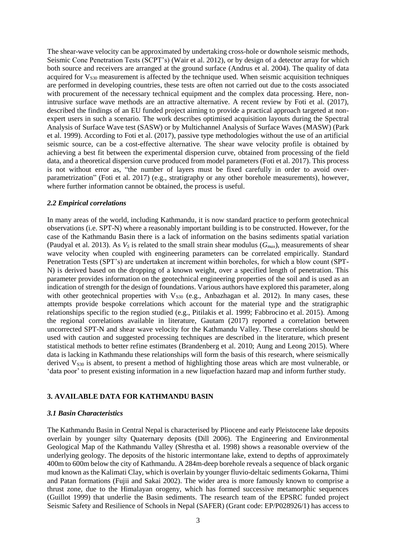The shear-wave velocity can be approximated by undertaking cross-hole or downhole seismic methods, Seismic Cone Penetration Tests (SCPT's) (Wair et al. 2012), or by design of a detector array for which both source and receivers are arranged at the ground surface (Andrus et al. 2004). The quality of data acquired for  $V_{830}$  measurement is affected by the technique used. When seismic acquisition techniques are performed in developing countries, these tests are often not carried out due to the costs associated with procurement of the necessary technical equipment and the complex data processing. Here, nonintrusive surface wave methods are an attractive alternative. A recent review by Foti et al. (2017), described the findings of an EU funded project aiming to provide a practical approach targeted at nonexpert users in such a scenario. The work describes optimised acquisition layouts during the Spectral Analysis of Surface Wave test (SASW) or by Multichannel Analysis of Surface Waves (MASW) (Park et al. 1999). According to Foti et al. (2017), passive type methodologies without the use of an artificial seismic source, can be a cost-effective alternative. The shear wave velocity profile is obtained by achieving a best fit between the experimental dispersion curve, obtained from processing of the field data, and a theoretical dispersion curve produced from model parameters (Foti et al. 2017). This process is not without error as, "the number of layers must be fixed carefully in order to avoid overparametrization" (Foti et al. 2017) (e.g., stratigraphy or any other borehole measurements), however, where further information cannot be obtained, the process is useful.

#### *2.2 Empirical correlations*

In many areas of the world, including Kathmandu, it is now standard practice to perform geotechnical observations (i.e. SPT-N) where a reasonably important building is to be constructed. However, for the case of the Kathmandu Basin there is a lack of information on the basins sediments spatial variation (Paudyal et al. 2013). As  $V_s$  is related to the small strain shear modulus ( $G_{max}$ ), measurements of shear wave velocity when coupled with engineering parameters can be correlated empirically. Standard Penetration Tests (SPT's) are undertaken at increment within boreholes, for which a blow count (SPT-N) is derived based on the dropping of a known weight, over a specified length of penetration. This parameter provides information on the geotechnical engineering properties of the soil and is used as an indication of strength for the design of foundations. Various authors have explored this parameter, along with other geotechnical properties with  $V<sub>S30</sub>$  (e.g., Anbazhagan et al. 2012). In many cases, these attempts provide bespoke correlations which account for the material type and the stratigraphic relationships specific to the region studied (e.g., Pitilakis et al. 1999; Fabbrocino et al. 2015). Among the regional correlations available in literature, Gautam (2017) reported a correlation between uncorrected SPT-N and shear wave velocity for the Kathmandu Valley. These correlations should be used with caution and suggested processing techniques are described in the literature, which present statistical methods to better refine estimates (Brandenberg et al. 2010; Aung and Leong 2015). Where data is lacking in Kathmandu these relationships will form the basis of this research, where seismically derived  $V_{S30}$  is absent, to present a method of highlighting those areas which are most vulnerable, or 'data poor' to present existing information in a new liquefaction hazard map and inform further study.

# **3. AVAILABLE DATA FOR KATHMANDU BASIN**

#### *3.1 Basin Characteristics*

The Kathmandu Basin in Central Nepal is characterised by Pliocene and early Pleistocene lake deposits overlain by younger silty Quaternary deposits (Dill 2006). The Engineering and Environmental Geological Map of the Kathmandu Valley (Shrestha et al. 1998) shows a reasonable overview of the underlying geology. The deposits of the historic intermontane lake, extend to depths of approximately 400m to 600m below the city of Kathmandu. A 284m-deep borehole reveals a sequence of black organic mud known as the Kalimati Clay, which is overlain by younger fluvio-deltaic sediments Gokarna, Thimi and Patan formations (Fujii and Sakai 2002). The wider area is more famously known to comprise a thrust zone, due to the Himalayan orogeny, which has formed successive metamorphic sequences (Guillot 1999) that underlie the Basin sediments. The research team of the EPSRC funded project Seismic Safety and Resilience of Schools in Nepal (SAFER) (Grant code: EP/P028926/1) has access to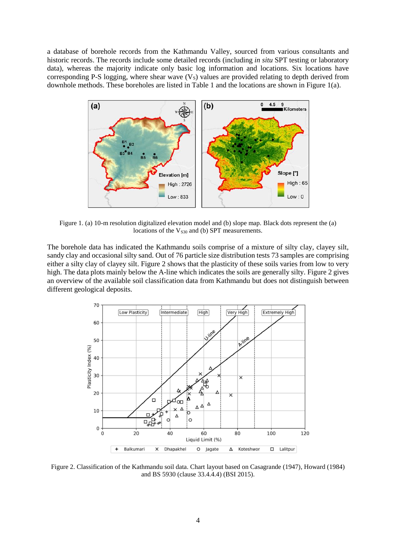a database of borehole records from the Kathmandu Valley, sourced from various consultants and historic records. The records include some detailed records (including *in situ* SPT testing or laboratory data), whereas the majority indicate only basic log information and locations. Six locations have corresponding P-S logging, where shear wave  $(V<sub>S</sub>)$  values are provided relating to depth derived from downhole methods. These boreholes are listed in Table 1 and the locations are shown in Figure 1(a).



Figure 1. (a) 10-m resolution digitalized elevation model and (b) slope map. Black dots represent the (a) locations of the  $V<sub>S30</sub>$  and (b) SPT measurements.

The borehole data has indicated the Kathmandu soils comprise of a mixture of silty clay, clayey silt, sandy clay and occasional silty sand. Out of 76 particle size distribution tests 73 samples are comprising either a silty clay of clayey silt. Figure 2 shows that the plasticity of these soils varies from low to very high. The data plots mainly below the A-line which indicates the soils are generally silty. Figure 2 gives an overview of the available soil classification data from Kathmandu but does not distinguish between different geological deposits.



Figure 2. Classification of the Kathmandu soil data. Chart layout based on Casagrande (1947), Howard (1984) and BS 5930 (clause 33.4.4.4) (BSI 2015).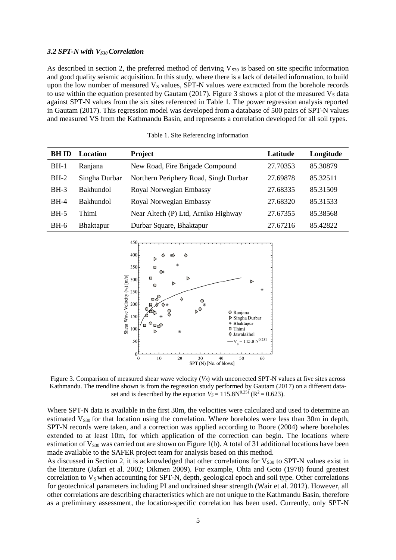# *3.2 SPT-N with VS30 Correlation*

As described in section 2, the preferred method of deriving  $V_{530}$  is based on site specific information and good quality seismic acquisition. In this study, where there is a lack of detailed information, to build upon the low number of measured  $V<sub>S</sub>$  values, SPT-N values were extracted from the borehole records to use within the equation presented by Gautam (2017). Figure 3 shows a plot of the measured  $V_s$  data against SPT-N values from the six sites referenced in Table 1. The power regression analysis reported in Gautam (2017). This regression model was developed from a database of 500 pairs of SPT-N values and measured VS from the Kathmandu Basin, and represents a correlation developed for all soil types.

| <b>BH ID</b> | Location         | Project                               | Latitude | Longitude |
|--------------|------------------|---------------------------------------|----------|-----------|
| $BH-1$       | Ranjana          | New Road, Fire Brigade Compound       | 27.70353 | 85.30879  |
| $BH-2$       | Singha Durbar    | Northern Periphery Road, Singh Durbar | 27.69878 | 85.32511  |
| $BH-3$       | <b>Bakhundol</b> | Royal Norwegian Embassy               | 27.68335 | 85.31509  |
| $BH-4$       | <b>Bakhundol</b> | Royal Norwegian Embassy               | 27.68320 | 85.31533  |
| $BH-5$       | Thimi            | Near Altech (P) Ltd, Arniko Highway   | 27.67355 | 85.38568  |
| $BH-6$       | <b>Bhaktapur</b> | Durbar Square, Bhaktapur              | 27.67216 | 85.42822  |

Table 1. Site Referencing Information



Figure 3. Comparison of measured shear wave velocity (*VS*) with uncorrected SPT-N values at five sites across Kathmandu. The trendline shown is from the regression study performed by Gautam (2017) on a different dataset and is described by the equation  $V_s = 115.8N^{0.251}$  ( $R^2 = 0.623$ ).

Where SPT-N data is available in the first 30m, the velocities were calculated and used to determine an estimated  $V_{S30}$  for that location using the correlation. Where boreholes were less than 30m in depth, SPT-N records were taken, and a correction was applied according to Boore (2004) where boreholes extended to at least 10m, for which application of the correction can begin. The locations where estimation of  $V<sub>S30</sub>$  was carried out are shown on Figure 1(b). A total of 31 additional locations have been made available to the SAFER project team for analysis based on this method.

As discussed in Section 2, it is acknowledged that other correlations for  $V_{S30}$  to SPT-N values exist in the literature (Jafari et al. 2002; Dikmen 2009). For example, Ohta and Goto (1978) found greatest correlation to  $V<sub>S</sub>$  when accounting for SPT-N, depth, geological epoch and soil type. Other correlations for geotechnical parameters including PI and undrained shear strength (Wair et al. 2012). However, all other correlations are describing characteristics which are not unique to the Kathmandu Basin, therefore as a preliminary assessment, the location-specific correlation has been used. Currently, only SPT-N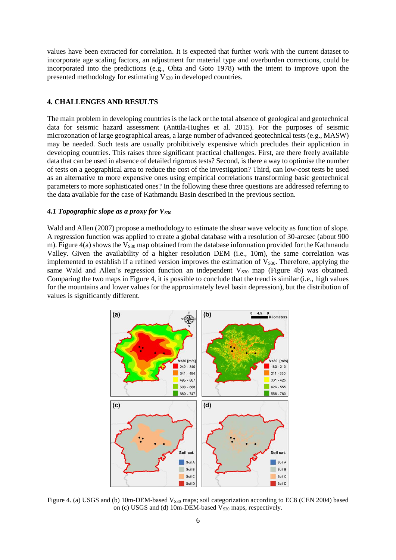values have been extracted for correlation. It is expected that further work with the current dataset to incorporate age scaling factors, an adjustment for material type and overburden corrections, could be incorporated into the predictions (e.g., Ohta and Goto 1978) with the intent to improve upon the presented methodology for estimating  $V<sub>S30</sub>$  in developed countries.

# **4. CHALLENGES AND RESULTS**

The main problem in developing countries is the lack or the total absence of geological and geotechnical data for seismic hazard assessment (Anttila-Hughes et al. 2015). For the purposes of seismic microzonation of large geographical areas, a large number of advanced geotechnical tests (e.g., MASW) may be needed. Such tests are usually prohibitively expensive which precludes their application in developing countries. This raises three significant practical challenges. First, are there freely available data that can be used in absence of detailed rigorous tests? Second, is there a way to optimise the number of tests on a geographical area to reduce the cost of the investigation? Third, can low-cost tests be used as an alternative to more expensive ones using empirical correlations transforming basic geotechnical parameters to more sophisticated ones? In the following these three questions are addressed referring to the data available for the case of Kathmandu Basin described in the previous section.

### *4.1 Topographic slope as a proxy for VS30*

Wald and Allen (2007) propose a methodology to estimate the shear wave velocity as function of slope. A regression function was applied to create a global database with a resolution of 30-arcsec (about 900 m). Figure 4(a) shows the  $V_{530}$  map obtained from the database information provided for the Kathmandu Valley. Given the availability of a higher resolution DEM (i.e., 10m), the same correlation was implemented to establish if a refined version improves the estimation of  $V<sub>S30</sub>$ . Therefore, applying the same Wald and Allen's regression function an independent  $V<sub>S30</sub>$  map (Figure 4b) was obtained. Comparing the two maps in Figure 4, it is possible to conclude that the trend is similar (i.e., high values for the mountains and lower values for the approximately level basin depression), but the distribution of values is significantly different.



Figure 4. (a) USGS and (b) 10m-DEM-based  $V_{s30}$  maps; soil categorization according to EC8 (CEN 2004) based on (c) USGS and (d) 10m-DEM-based  $V<sub>S30</sub>$  maps, respectively.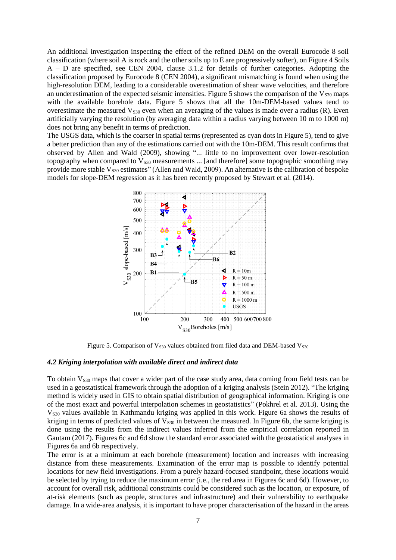An additional investigation inspecting the effect of the refined DEM on the overall Eurocode 8 soil classification (where soil A is rock and the other soils up to E are progressively softer), on Figure 4 Soils A – D are specified, see CEN 2004, clause 3.1.2 for details of further categories. Adopting the classification proposed by Eurocode 8 (CEN 2004), a significant mismatching is found when using the high-resolution DEM, leading to a considerable overestimation of shear wave velocities, and therefore an underestimation of the expected seismic intensities. Figure 5 shows the comparison of the  $V<sub>S30</sub>$  maps with the available borehole data. Figure 5 shows that all the 10m-DEM-based values tend to overestimate the measured  $V<sub>S30</sub>$  even when an averaging of the values is made over a radius (R). Even artificially varying the resolution (by averaging data within a radius varying between 10 m to 1000 m) does not bring any benefit in terms of prediction.

The USGS data, which is the coarser in spatial terms (represented as cyan dots in Figure 5), tend to give a better prediction than any of the estimations carried out with the 10m-DEM. This result confirms that observed by Allen and Wald (2009), showing "... little to no improvement over lower-resolution topography when compared to  $V<sub>S30</sub>$  measurements ... [and therefore] some topographic smoothing may provide more stable  $V_{S30}$  estimates" (Allen and Wald, 2009). An alternative is the calibration of bespoke models for slope-DEM regression as it has been recently proposed by Stewart et al. (2014).



Figure 5. Comparison of  $V<sub>S30</sub>$  values obtained from filed data and DEM-based  $V<sub>S30</sub>$ 

### *4.2 Kriging interpolation with available direct and indirect data*

To obtain V<sub>S30</sub> maps that cover a wider part of the case study area, data coming from field tests can be used in a geostatistical framework through the adoption of a kriging analysis (Stein 2012). "The kriging method is widely used in GIS to obtain spatial distribution of geographical information. Kriging is one of the most exact and powerful interpolation schemes in geostatistics" (Pokhrel et al. 2013). Using the V<sub>S30</sub> values available in Kathmandu kriging was applied in this work. Figure 6a shows the results of kriging in terms of predicted values of  $V<sub>S30</sub>$  in between the measured. In Figure 6b, the same kriging is done using the results from the indirect values inferred from the empirical correlation reported in Gautam (2017). Figures 6c and 6d show the standard error associated with the geostatistical analyses in Figures 6a and 6b respectively.

The error is at a minimum at each borehole (measurement) location and increases with increasing distance from these measurements. Examination of the error map is possible to identify potential locations for new field investigations. From a purely hazard-focused standpoint, these locations would be selected by trying to reduce the maximum error (i.e., the red area in Figures 6c and 6d). However, to account for overall risk, additional constraints could be considered such as the location, or exposure, of at-risk elements (such as people, structures and infrastructure) and their vulnerability to earthquake damage. In a wide-area analysis, it is important to have proper characterisation of the hazard in the areas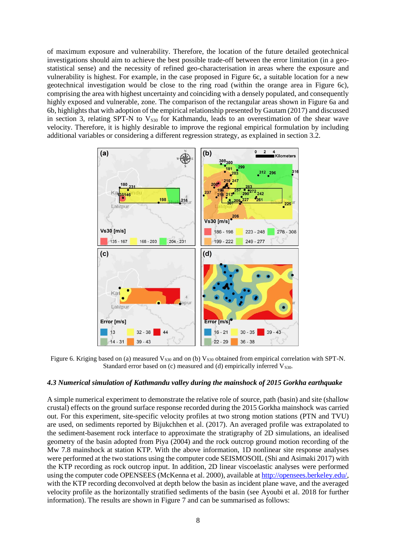of maximum exposure and vulnerability. Therefore, the location of the future detailed geotechnical investigations should aim to achieve the best possible trade-off between the error limitation (in a geostatistical sense) and the necessity of refined geo-characterisation in areas where the exposure and vulnerability is highest. For example, in the case proposed in Figure 6c, a suitable location for a new geotechnical investigation would be close to the ring road (within the orange area in Figure 6c), comprising the area with highest uncertainty and coinciding with a densely populated, and consequently highly exposed and vulnerable, zone. The comparison of the rectangular areas shown in Figure 6a and 6b, highlights that with adoption of the empirical relationship presented by Gautam (2017) and discussed in section 3, relating SPT-N to  $V<sub>S30</sub>$  for Kathmandu, leads to an overestimation of the shear wave velocity. Therefore, it is highly desirable to improve the regional empirical formulation by including additional variables or considering a different regression strategy, as explained in section 3.2.



Figure 6. Kriging based on (a) measured  $V<sub>S30</sub>$  and on (b)  $V<sub>S30</sub>$  obtained from empirical correlation with SPT-N. Standard error based on  $(c)$  measured and  $(d)$  empirically inferred  $V<sub>S30</sub>$ .

### *4.3 Numerical simulation of Kathmandu valley during the mainshock of 2015 Gorkha earthquake*

A simple numerical experiment to demonstrate the relative role of source, path (basin) and site (shallow crustal) effects on the ground surface response recorded during the 2015 Gorkha mainshock was carried out. For this experiment, site-specific velocity profiles at two strong motion stations (PTN and TVU) are used, on sediments reported by Bijukchhen et al. (2017). An averaged profile was extrapolated to the sediment-basement rock interface to approximate the stratigraphy of 2D simulations, an idealised geometry of the basin adopted from Piya (2004) and the rock outcrop ground motion recording of the Mw 7.8 mainshock at station KTP. With the above information, 1D nonlinear site response analyses were performed at the two stations using the computer code SEISMOSOIL (Shi and Asimaki 2017) with the KTP recording as rock outcrop input. In addition, 2D linear viscoelastic analyses were performed using the computer code OPENSEES (McKenna et al. 2000), available a[t http://opensees.berkeley.edu/,](http://opensees.berkeley.edu/) with the KTP recording deconvolved at depth below the basin as incident plane wave, and the averaged velocity profile as the horizontally stratified sediments of the basin (see Ayoubi et al. 2018 for further information). The results are shown in Figure 7 and can be summarised as follows: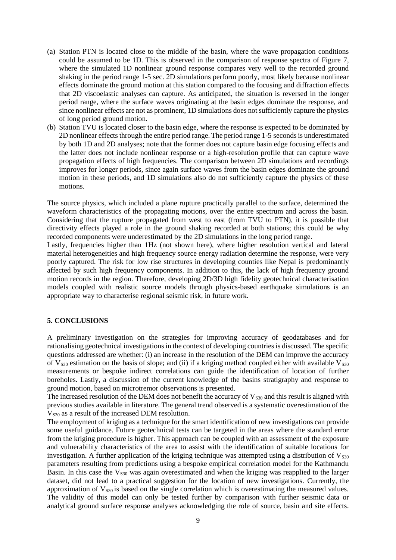- (a) Station PTN is located close to the middle of the basin, where the wave propagation conditions could be assumed to be 1D. This is observed in the comparison of response spectra of Figure 7, where the simulated 1D nonlinear ground response compares very well to the recorded ground shaking in the period range 1-5 sec. 2D simulations perform poorly, most likely because nonlinear effects dominate the ground motion at this station compared to the focusing and diffraction effects that 2D viscoelastic analyses can capture. As anticipated, the situation is reversed in the longer period range, where the surface waves originating at the basin edges dominate the response, and since nonlinear effects are not as prominent, 1D simulations does not sufficiently capture the physics of long period ground motion.
- (b) Station TVU is located closer to the basin edge, where the response is expected to be dominated by 2D nonlinear effects through the entire period range. The period range 1-5 secondsis underestimated by both 1D and 2D analyses; note that the former does not capture basin edge focusing effects and the latter does not include nonlinear response or a high-resolution profile that can capture wave propagation effects of high frequencies. The comparison between 2D simulations and recordings improves for longer periods, since again surface waves from the basin edges dominate the ground motion in these periods, and 1D simulations also do not sufficiently capture the physics of these motions.

The source physics, which included a plane rupture practically parallel to the surface, determined the waveform characteristics of the propagating motions, over the entire spectrum and across the basin. Considering that the rupture propagated from west to east (from TVU to PTN), it is possible that directivity effects played a role in the ground shaking recorded at both stations; this could be why recorded components were underestimated by the 2D simulations in the long period range.

Lastly, frequencies higher than 1Hz (not shown here), where higher resolution vertical and lateral material heterogeneities and high frequency source energy radiation determine the response, were very poorly captured. The risk for low rise structures in developing counties like Nepal is predominantly affected by such high frequency components. In addition to this, the lack of high frequency ground motion records in the region. Therefore, developing 2D/3D high fidelity geotechnical characterisation models coupled with realistic source models through physics-based earthquake simulations is an appropriate way to characterise regional seismic risk, in future work.

### **5. CONCLUSIONS**

A preliminary investigation on the strategies for improving accuracy of geodatabases and for rationalising geotechnical investigations in the context of developing countries is discussed. The specific questions addressed are whether: (i) an increase in the resolution of the DEM can improve the accuracy of  $V<sub>S30</sub>$  estimation on the basis of slope; and (ii) if a kriging method coupled either with available  $V<sub>S30</sub>$ measurements or bespoke indirect correlations can guide the identification of location of further boreholes. Lastly, a discussion of the current knowledge of the basins stratigraphy and response to ground motion, based on microtremor observations is presented.

The increased resolution of the DEM does not benefit the accuracy of  $V<sub>S30</sub>$  and this result is aligned with previous studies available in literature. The general trend observed is a systematic overestimation of the  $V<sub>S30</sub>$  as a result of the increased DEM resolution.

The employment of kriging as a technique for the smart identification of new investigations can provide some useful guidance. Future geotechnical tests can be targeted in the areas where the standard error from the kriging procedure is higher. This approach can be coupled with an assessment of the exposure and vulnerability characteristics of the area to assist with the identification of suitable locations for investigation. A further application of the kriging technique was attempted using a distribution of  $V_{s30}$ parameters resulting from predictions using a bespoke empirical correlation model for the Kathmandu Basin. In this case the  $V_{s30}$  was again overestimated and when the kriging was reapplied to the larger dataset, did not lead to a practical suggestion for the location of new investigations. Currently, the approximation of  $V_{s30}$  is based on the single correlation which is overestimating the measured values. The validity of this model can only be tested further by comparison with further seismic data or analytical ground surface response analyses acknowledging the role of source, basin and site effects.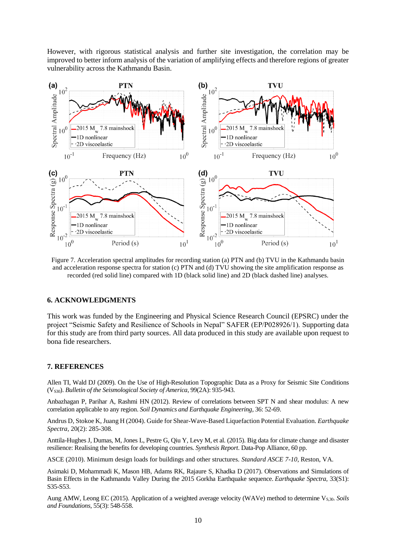However, with rigorous statistical analysis and further site investigation, the correlation may be improved to better inform analysis of the variation of amplifying effects and therefore regions of greater vulnerability across the Kathmandu Basin.



Figure 7. Acceleration spectral amplitudes for recording station (a) PTN and (b) TVU in the Kathmandu basin and acceleration response spectra for station (c) PTN and (d) TVU showing the site amplification response as recorded (red solid line) compared with 1D (black solid line) and 2D (black dashed line) analyses.

### **6. ACKNOWLEDGMENTS**

This work was funded by the Engineering and Physical Science Research Council (EPSRC) under the project "Seismic Safety and Resilience of Schools in Nepal" SAFER (EP/P028926/1). Supporting data for this study are from third party sources. All data produced in this study are available upon request to bona fide researchers.

#### **7. REFERENCES**

Allen TI, Wald DJ (2009). On the Use of High-Resolution Topographic Data as a Proxy for Seismic Site Conditions (V<sub>S30</sub>). *Bulletin of the Seismological Society of America*, 99(2A): 935-943.

Anbazhagan P, Parihar A, Rashmi HN (2012). Review of correlations between SPT N and shear modulus: A new correlation applicable to any region. *Soil Dynamics and Earthquake Engineering*, 36: 52-69.

Andrus D, Stokoe K, Juang H (2004). Guide for Shear-Wave-Based Liquefaction Potential Evaluation. *Earthquake Spectra,* 20(2): 285-308.

Anttila-Hughes J, Dumas, M, Jones L, Pestre G, Qiu Y, Levy M, et al. (2015). Big data for climate change and disaster resilience: Realising the benefits for developing countries. *Synthesis Report*. Data-Pop Alliance, 60 pp.

ASCE (2010). Minimum design loads for buildings and other structures. *Standard ASCE 7-10*, Reston, VA.

Asimaki D, Mohammadi K, Mason HB, Adams RK, Rajaure S, Khadka D (2017). Observations and Simulations of Basin Effects in the Kathmandu Valley During the 2015 Gorkha Earthquake sequence. *Earthquake Spectra,* 33(S1): S35-S53.

Aung AMW, Leong EC (2015). Application of a weighted average velocity (WAVe) method to determine V<sub>S,30</sub>. *Soils and Foundations*, 55(3): 548-558.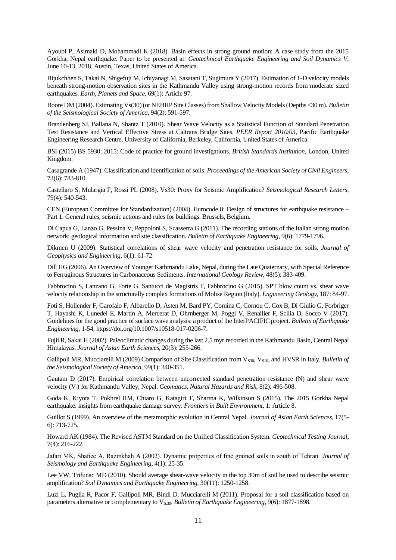Ayoubi P, Asimaki D, Mohammadi K (2018). Basin effects in strong ground motion: A case study from the 2015 Gorkha, Nepal earthquake. Paper to be presented at: *Geotechnical Earthquake Engineering and Soil Dynamics V*, June 10-13, 2018, Austin, Texas, United States of America.

Bijukchhen S, Takai N, Shigefuji M, Ichiyanagi M, Sasatani T, Sugimura Y (2017). Estimation of 1-D velocity models beneath strong-motion observation sites in the Kathmandu Valley using strong-motion records from moderate sized earthquakes. *Earth, Planets and Space*, 69(1): Article 97.

Boore DM (2004). Estimating Vs(30)(or NEHRP Site Classes) from Shallow Velocity Models (Depths <30 m). *Bulletin of the Seismological Society of America*, 94(2): 591-597.

Brandenberg SJ, Ballana N, Shantz T (2010). Shear Wave Velocity as a Statistical Function of Standard Penetration Test Resistance and Vertical Effective Stress at Caltrans Bridge Sites. *PEER Report 2010/03*, Pacific Earthquake Engineering Research Centre, University of California, Berkeley, California, United States of America.

BSI (2015) BS 5930: 2015: Code of practice for ground investigations. *British Standards Institution*, London, United Kingdom.

Casagrande A (1947). Classification and identification of soils. *Proceedings of the American Society of Civil Engineers*, 73(6): 783-810.

Castellaro S, Mulargia F, Rossi PL (2008). Vs30: Proxy for Seismic Amplification? *Seismological Research Letters*, 79(4): 540-543.

CEN (European Committee for Standardization) (2004). Eurocode 8: Design of structures for earthquake resistance – Part 1: General rules, seismic actions and rules for buildings. Brussels, Belgium.

Di Capua G, Lanzo G, Pessina V, Peppoloni S, Scasserra G (2011). The recording stations of the Italian strong motion network: geological information and site classification. *Bulletin of Earthquake Engineering*, 9(6): 1779-1796.

Dikmen U (2009). Statistical correlations of shear wave velocity and penetration resistance for soils. *Journal of Geophysics and Engineering*, 6(1): 61-72.

Dill HG (2006). An Overview of Younger Kathmandu Lake, Nepal, during the Late Quaternary, with Special Reference to Ferruginous Structures in Carbonaceous Sediments. *International Geology Review*, 48(5): 383-409.

Fabbrocino S, Lanzano G, Forte G, Santucci de Magistris F, Fabbrocino G (2015). SPT blow count vs. shear wave velocity relationship in the structurally complex formations of Molise Region (Italy). *Engineering Geology*, 187: 84-97.

Foti S, Hollender F, Garofalo F, Albarello D, Asten M, Bard PY, Comina C, Cornou C, Cox B, Di Giulio G, Forbriger T, Hayashi K, Lunedei E, Martin A, Mercerat D, Ohrnberger M, Poggi V, Renailier F, Scilia D, Socco V (2017). Guidelines for the good practice of surface wave analysis: a product of the InterPACIFIC project. *Bulletin of Earthquake Engineering*, 1-54, https://doi.org/10.1007/s10518-017-0206-7.

Fujii R, Sakai H (2002). Paleoclimatic changes during the last 2.5 myr recorded in the Kathmandu Basin, Central Nepal Himalayas. *Journal of Asian Earth Sciences*, 20(3): 255-266.

Gallipoli MR, Mucciarelli M (2009) Comparison of Site Classification from V<sub>S30</sub>, V<sub>S10</sub>, and HVSR in Italy. *Bulletin of the Seismological Society of America*, 99(1): 340-351.

Gautam D (2017). Empirical correlation between uncorrected standard penetration resistance (N) and shear wave velocity (Vs) for Kathmandu Valley, Nepal. *Geomatics, Natural Hazards and Risk,* 8(2): 496-508.

Goda K, Kiyota T, Pokhrel RM, Chiaro G, Katagiri T, Sharma K, Wilkinson S (2015). The 2015 Gorkha Nepal earthquake: insights from earthquake damage survey. *Frontiers in Built Environment*, 1: Article 8.

Guillot S (1999). An overview of the metamorphic evolution in Central Nepal. *Journal of Asian Earth Sciences*, 17(5- 6): 713-725.

Howard AK (1984). The Revised ASTM Standard on the Unified Classification System. *Geotechnical Testing Journal*, 7(4): 216-222.

Jafari MK, Shafiee A, Razmkhah A (2002). Dynamic properties of fine grained soils in south of Tehran. *Journal of Seismology and Earthquake Engineering*, 4(1): 25-35.

Lee VW, Trifunac MD (2010). Should average shear-wave velocity in the top 30m of soil be used to describe seismic amplification? *Soil Dynamics and Earthquake Engineering*, 30(11): 1250-1258.

Luzi L, Puglia R, Pacor F, Gallipoli MR, Bindi D, Mucciarelli M (2011). Proposal for a soil classification based on parameters alternative or complementary to V<sub>S,30</sub>. *Bulletin of Earthquake Engineering*, 9(6): 1877-1898.